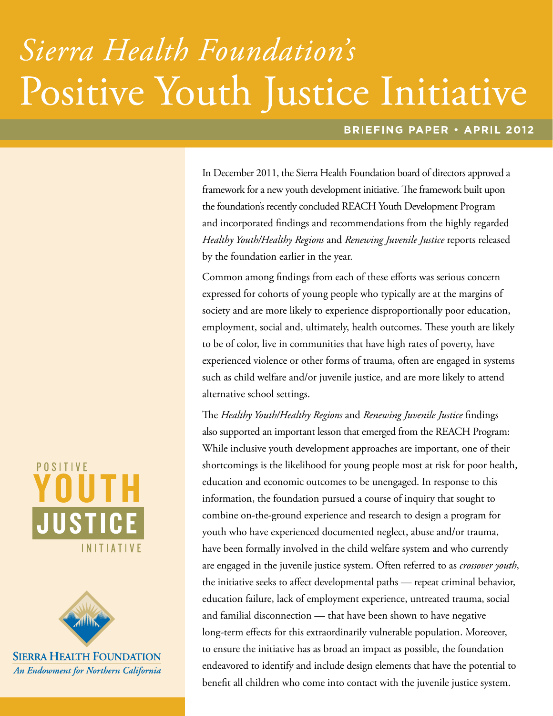# Sierra Health Foundation's Positive Youth Justice Initiative

## **BRIEFING PAPER · APRIL 2012**

In December 2011, the Sierra Health Foundation board of directors approved a framework for a new youth development initiative. The framework built upon the foundation's recently concluded REACH Youth Development Program and incorporated findings and recommendations from the highly regarded *Healthy Youth/Healthy Regions* and *Renewing Juvenile Justice* reports released by the foundation earlier in the year.

Common among findings from each of these efforts was serious concern expressed for cohorts of young people who typically are at the margins of society and are more likely to experience disproportionally poor education, employment, social and, ultimately, health outcomes. These youth are likely to be of color, live in communities that have high rates of poverty, have experienced violence or other forms of trauma, often are engaged in systems such as child welfare and/or juvenile justice, and are more likely to attend alternative school settings.

The *Healthy Youth/Healthy Regions* and *Renewing Juvenile Justice* findings also supported an important lesson that emerged from the REACH Program: While inclusive youth development approaches are important, one of their shortcomings is the likelihood for young people most at risk for poor health, education and economic outcomes to be unengaged. In response to this information, the foundation pursued a course of inquiry that sought to combine on-the-ground experience and research to design a program for youth who have experienced documented neglect, abuse and/or trauma, have been formally involved in the child welfare system and who currently are engaged in the juvenile justice system. Often referred to as *crossover youth*, the initiative seeks to affect developmental paths — repeat criminal behavior, education failure, lack of employment experience, untreated trauma, social and familial disconnection — that have been shown to have negative long-term effects for this extraordinarily vulnerable population. Moreover, to ensure the initiative has as broad an impact as possible, the foundation endeavored to identify and include design elements that have the potential to benefit all children who come into contact with the juvenile justice system.





**SIERRA HEALTH FOUNDATION** An Endowment for Northern California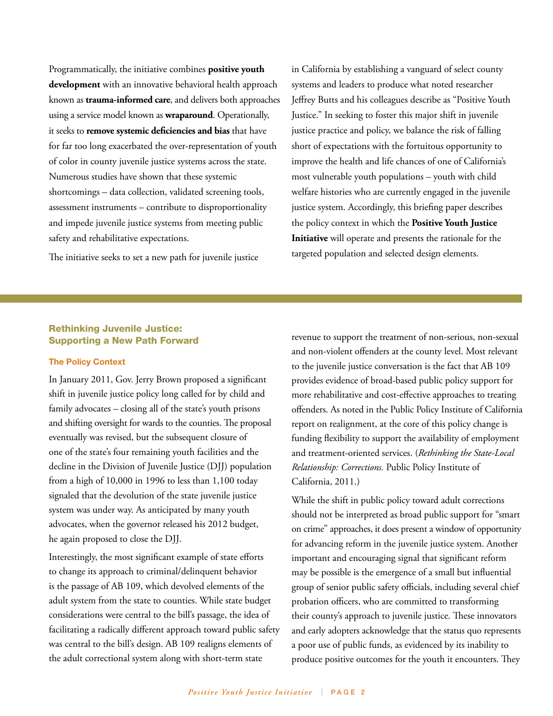Programmatically, the initiative combines **positive youth development** with an innovative behavioral health approach known as **trauma-informed care**, and delivers both approaches using a service model known as **wraparound**. Operationally, it seeks to **remove systemic deficiencies and bias** that have for far too long exacerbated the over-representation of youth of color in county juvenile justice systems across the state. Numerous studies have shown that these systemic shortcomings – data collection, validated screening tools, assessment instruments – contribute to disproportionality and impede juvenile justice systems from meeting public safety and rehabilitative expectations.

The initiative seeks to set a new path for juvenile justice

in California by establishing a vanguard of select county systems and leaders to produce what noted researcher Jeffrey Butts and his colleagues describe as "Positive Youth Justice." In seeking to foster this major shift in juvenile justice practice and policy, we balance the risk of falling short of expectations with the fortuitous opportunity to improve the health and life chances of one of California's most vulnerable youth populations – youth with child welfare histories who are currently engaged in the juvenile justice system. Accordingly, this briefing paper describes the policy context in which the **Positive Youth Justice Initiative** will operate and presents the rationale for the targeted population and selected design elements.

## Rethinking Juvenile Justice: Supporting a New Path Forward

## **The Policy Context**

In January 2011, Gov. Jerry Brown proposed a significant shift in juvenile justice policy long called for by child and family advocates – closing all of the state's youth prisons and shifting oversight for wards to the counties. The proposal eventually was revised, but the subsequent closure of one of the state's four remaining youth facilities and the decline in the Division of Juvenile Justice (DJJ) population from a high of 10,000 in 1996 to less than 1,100 today signaled that the devolution of the state juvenile justice system was under way. As anticipated by many youth advocates, when the governor released his 2012 budget, he again proposed to close the DJJ.

Interestingly, the most significant example of state efforts to change its approach to criminal/delinquent behavior is the passage of AB 109, which devolved elements of the adult system from the state to counties. While state budget considerations were central to the bill's passage, the idea of facilitating a radically different approach toward public safety was central to the bill's design. AB 109 realigns elements of the adult correctional system along with short-term state

revenue to support the treatment of non-serious, non-sexual and non-violent offenders at the county level. Most relevant to the juvenile justice conversation is the fact that AB 109 provides evidence of broad-based public policy support for more rehabilitative and cost-effective approaches to treating offenders. As noted in the Public Policy Institute of California report on realignment, at the core of this policy change is funding flexibility to support the availability of employment and treatment-oriented services. (*Rethinking the State-Local Relationship: Corrections.* Public Policy Institute of California, 2011.)

While the shift in public policy toward adult corrections should not be interpreted as broad public support for "smart on crime" approaches, it does present a window of opportunity for advancing reform in the juvenile justice system. Another important and encouraging signal that significant reform may be possible is the emergence of a small but influential group of senior public safety officials, including several chief probation officers, who are committed to transforming their county's approach to juvenile justice. These innovators and early adopters acknowledge that the status quo represents a poor use of public funds, as evidenced by its inability to produce positive outcomes for the youth it encounters. They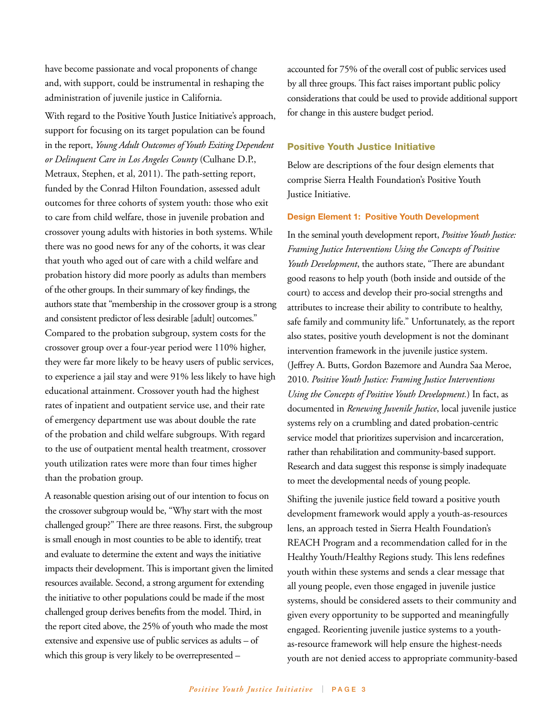have become passionate and vocal proponents of change and, with support, could be instrumental in reshaping the administration of juvenile justice in California.

With regard to the Positive Youth Justice Initiative's approach, support for focusing on its target population can be found in the report, *Young Adult Outcomes of Youth Exiting Dependent or Delinquent Care in Los Angeles County* (Culhane D.P., Metraux, Stephen, et al, 2011). The path-setting report, funded by the Conrad Hilton Foundation, assessed adult outcomes for three cohorts of system youth: those who exit to care from child welfare, those in juvenile probation and crossover young adults with histories in both systems. While there was no good news for any of the cohorts, it was clear that youth who aged out of care with a child welfare and probation history did more poorly as adults than members of the other groups. In their summary of key findings, the authors state that "membership in the crossover group is a strong and consistent predictor of less desirable [adult] outcomes." Compared to the probation subgroup, system costs for the crossover group over a four-year period were 110% higher, they were far more likely to be heavy users of public services, to experience a jail stay and were 91% less likely to have high educational attainment. Crossover youth had the highest rates of inpatient and outpatient service use, and their rate of emergency department use was about double the rate of the probation and child welfare subgroups. With regard to the use of outpatient mental health treatment, crossover youth utilization rates were more than four times higher than the probation group.

A reasonable question arising out of our intention to focus on the crossover subgroup would be, "Why start with the most challenged group?" There are three reasons. First, the subgroup is small enough in most counties to be able to identify, treat and evaluate to determine the extent and ways the initiative impacts their development. This is important given the limited resources available. Second, a strong argument for extending the initiative to other populations could be made if the most challenged group derives benefits from the model. Third, in the report cited above, the 25% of youth who made the most extensive and expensive use of public services as adults – of which this group is very likely to be overrepresented –

accounted for 75% of the overall cost of public services used by all three groups. This fact raises important public policy considerations that could be used to provide additional support for change in this austere budget period.

## Positive Youth Justice Initiative

Below are descriptions of the four design elements that comprise Sierra Health Foundation's Positive Youth Justice Initiative.

#### **Design Element 1: Positive Youth Development**

In the seminal youth development report, *Positive Youth Justice: Framing Justice Interventions Using the Concepts of Positive Youth Development*, the authors state, "There are abundant good reasons to help youth (both inside and outside of the court) to access and develop their pro-social strengths and attributes to increase their ability to contribute to healthy, safe family and community life." Unfortunately, as the report also states, positive youth development is not the dominant intervention framework in the juvenile justice system. (Jeffrey A. Butts, Gordon Bazemore and Aundra Saa Meroe, 2010. *Positive Youth Justice: Framing Justice Interventions Using the Concepts of Positive Youth Development.*) In fact, as documented in *Renewing Juvenile Justice*, local juvenile justice systems rely on a crumbling and dated probation-centric service model that prioritizes supervision and incarceration, rather than rehabilitation and community-based support. Research and data suggest this response is simply inadequate to meet the developmental needs of young people.

Shifting the juvenile justice field toward a positive youth development framework would apply a youth-as-resources lens, an approach tested in Sierra Health Foundation's REACH Program and a recommendation called for in the Healthy Youth/Healthy Regions study. This lens redefines youth within these systems and sends a clear message that all young people, even those engaged in juvenile justice systems, should be considered assets to their community and given every opportunity to be supported and meaningfully engaged. Reorienting juvenile justice systems to a youthas-resource framework will help ensure the highest-needs youth are not denied access to appropriate community-based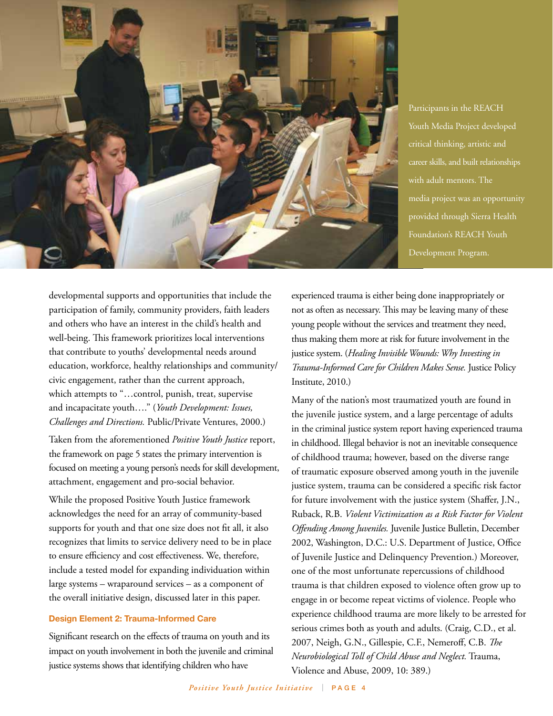

Participants in the REACH Youth Media Project developed critical thinking, artistic and career skills, and built relationships with adult mentors. The media project was an opportunity provided through Sierra Health Foundation's REACH Youth Development Program.

developmental supports and opportunities that include the participation of family, community providers, faith leaders and others who have an interest in the child's health and well-being. This framework prioritizes local interventions that contribute to youths' developmental needs around education, workforce, healthy relationships and community/ civic engagement, rather than the current approach, which attempts to "…control, punish, treat, supervise and incapacitate youth…." (*Youth Development: Issues, Challenges and Directions.* Public/Private Ventures, 2000.)

Taken from the aforementioned *Positive Youth Justice* report, the framework on page 5 states the primary intervention is focused on meeting a young person's needs for skill development, attachment, engagement and pro-social behavior.

While the proposed Positive Youth Justice framework acknowledges the need for an array of community-based supports for youth and that one size does not fit all, it also recognizes that limits to service delivery need to be in place to ensure efficiency and cost effectiveness. We, therefore, include a tested model for expanding individuation within large systems – wraparound services – as a component of the overall initiative design, discussed later in this paper.

## **Design Element 2: Trauma-Informed Care**

Significant research on the effects of trauma on youth and its impact on youth involvement in both the juvenile and criminal justice systems shows that identifying children who have

experienced trauma is either being done inappropriately or not as often as necessary. This may be leaving many of these young people without the services and treatment they need, thus making them more at risk for future involvement in the justice system. (*Healing Invisible Wounds: Why Investing in Trauma-Informed Care for Children Makes Sense.* Justice Policy Institute, 2010.)

Many of the nation's most traumatized youth are found in the juvenile justice system, and a large percentage of adults in the criminal justice system report having experienced trauma in childhood. Illegal behavior is not an inevitable consequence of childhood trauma; however, based on the diverse range of traumatic exposure observed among youth in the juvenile justice system, trauma can be considered a specific risk factor for future involvement with the justice system (Shaffer, J.N., Ruback, R.B. *Violent Victimization as a Risk Factor for Violent Offending Among Juveniles.* Juvenile Justice Bulletin, December 2002, Washington, D.C.: U.S. Department of Justice, Office of Juvenile Justice and Delinquency Prevention.) Moreover, one of the most unfortunate repercussions of childhood trauma is that children exposed to violence often grow up to engage in or become repeat victims of violence. People who experience childhood trauma are more likely to be arrested for serious crimes both as youth and adults. (Craig, C.D., et al. 2007, Neigh, G.N., Gillespie, C.F., Nemeroff, C.B. *The Neurobiological Toll of Child Abuse and Neglect.* Trauma, Violence and Abuse, 2009, 10: 389.)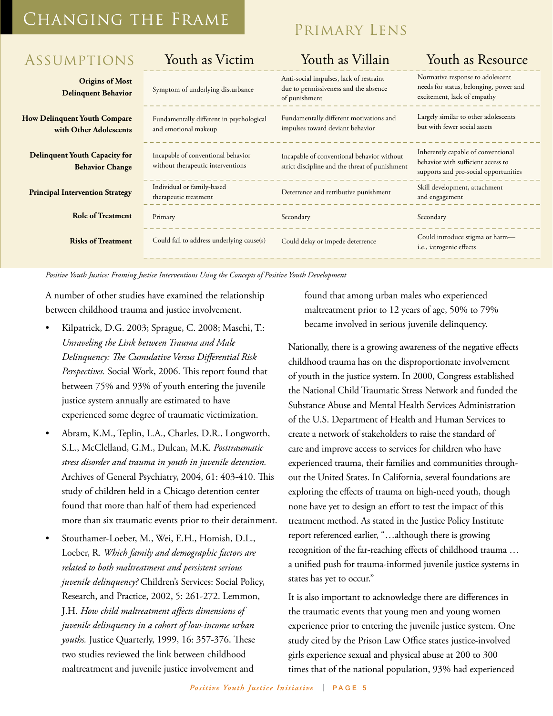## Changing the Frame

## Primary Lens

| <b>ASSUMPTIONS</b>                                             | Youth as Victim                                                         | Youth as Villain                                                                                  | Youth as Resource                                                                                                 |
|----------------------------------------------------------------|-------------------------------------------------------------------------|---------------------------------------------------------------------------------------------------|-------------------------------------------------------------------------------------------------------------------|
| <b>Origins of Most</b><br><b>Delinquent Behavior</b>           | Symptom of underlying disturbance                                       | Anti-social impulses, lack of restraint<br>due to permissiveness and the absence<br>of punishment | Normative response to adolescent<br>needs for status, belonging, power and<br>excitement, lack of empathy         |
| <b>How Delinquent Youth Compare</b><br>with Other Adolescents  | Fundamentally different in psychological<br>and emotional makeup        | Fundamentally different motivations and<br>impulses toward deviant behavior                       | Largely similar to other adolescents<br>but with fewer social assets                                              |
| <b>Delinquent Youth Capacity for</b><br><b>Behavior Change</b> | Incapable of conventional behavior<br>without therapeutic interventions | Incapable of conventional behavior without<br>strict discipline and the threat of punishment      | Inherently capable of conventional<br>behavior with sufficient access to<br>supports and pro-social opportunities |
| <b>Principal Intervention Strategy</b>                         | Individual or family-based<br>therapeutic treatment                     | Deterrence and retributive punishment                                                             | Skill development, attachment<br>and engagement                                                                   |
| <b>Role of Treatment</b>                                       | Primary                                                                 | Secondary                                                                                         | Secondary                                                                                                         |
| <b>Risks of Treatment</b>                                      | Could fail to address underlying cause(s)                               | Could delay or impede deterrence                                                                  | Could introduce stigma or harm-<br>i.e., iatrogenic effects                                                       |
|                                                                |                                                                         |                                                                                                   |                                                                                                                   |

*Positive Youth Justice: Framing Justice Interventions Using the Concepts of Positive Youth Development*

A number of other studies have examined the relationship between childhood trauma and justice involvement.

- Kilpatrick, D.G. 2003; Sprague, C. 2008; Maschi, T.: *Unraveling the Link between Trauma and Male Delinquency: The Cumulative Versus Differential Risk Perspectives.* Social Work, 2006. This report found that between 75% and 93% of youth entering the juvenile<br>iustice system annually are estimated to have justice system annually are estimated to have experienced some degree of traumatic victimization.
	- Abram, K.M., Teplin, L.A., Charles, D.R., Longworth, S.L., McClelland, G.M., Dulcan, M.K. *Posttraumatic stress disorder and trauma in youth in juvenile detention.* Archives of General Psychiatry, 2004, 61: 403-410. This study of children held in a Chicago detention center found that more than half of them had experienced more than six traumatic events prior to their detainment.
	- Stouthamer-Loeber, M., Wei, E.H., Homish, D.L., Loeber, R. *Which family and demographic factors are related to both maltreatment and persistent serious juvenile delinquency?* Children's Services: Social Policy, Research, and Practice, 2002, 5: 261-272. Lemmon, J.H. *How child maltreatment affects dimensions of juvenile delinquency in a cohort of low-income urban youths.* Justice Quarterly, 1999, 16: 357-376. These two studies reviewed the link between childhood maltreatment and juvenile justice involvement and

found that among urban males who experienced maltreatment prior to 12 years of age, 50% to 79% became involved in serious juvenile delinquency.

Nationally, there is a growing awareness of the negative effects childhood trauma has on the disproportionate involvement of youth in the justice system. In 2000, Congress established the National Child Traumatic Stress Network and funded the Substance Abuse and Mental Health Services Administration of the U.S. Department of Health and Human Services to Health create a network of stakeholders to raise the standard of care and improve access to services for children who have umanc care and improve access to services for children who have<br>tention. Competenced trauma, their families and communities throughexperienced tradina, their rammes and communities unough<br>out the United States. In California, several foundations are  $\frac{1}{2}$  exploring the effects of trauma on high-need youth, though none have yet to design an effort to test the impact of this treatment method. As stated in the Justice Policy Institute report referenced earlier, "...although there is growing recognition of the far-reaching effects of childhood trauma … a unified push for trauma-informed juvenile justice systems in states has yet to occur."

> It is also important to acknowledge there are differences in the traumatic events that young men and young women experience prior to entering the juvenile justice system. One study cited by the Prison Law Office states justice-involved girls experience sexual and physical abuse at 200 to 300 times that of the national population, 93% had experienced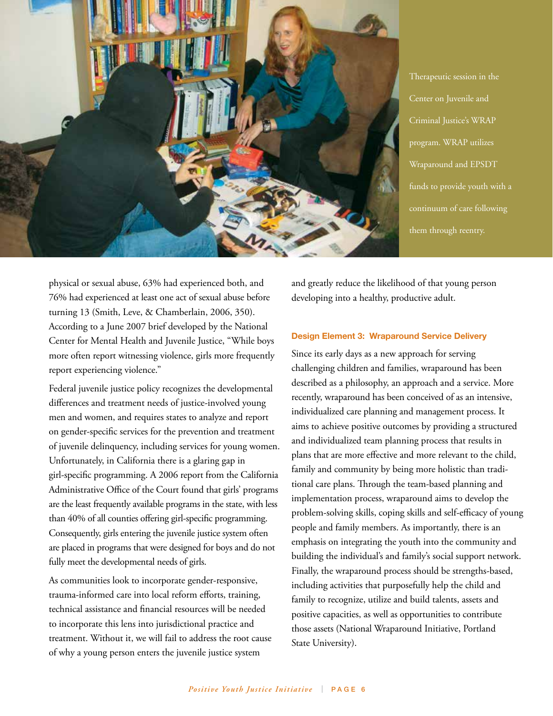

Therapeutic session in the Center on Juvenile and Criminal Justice's WRAP program. WRAP utilizes Wraparound and EPSDT funds to provide youth with a continuum of care following them through reentry.

physical or sexual abuse, 63% had experienced both, and 76% had experienced at least one act of sexual abuse before turning 13 (Smith, Leve, & Chamberlain, 2006, 350). According to a June 2007 brief developed by the National Center for Mental Health and Juvenile Justice, "While boys more often report witnessing violence, girls more frequently report experiencing violence."

Federal juvenile justice policy recognizes the developmental differences and treatment needs of justice-involved young men and women, and requires states to analyze and report on gender-specific services for the prevention and treatment of juvenile delinquency, including services for young women. Unfortunately, in California there is a glaring gap in girl-specific programming. A 2006 report from the California Administrative Office of the Court found that girls' programs are the least frequently available programs in the state, with less than 40% of all counties offering girl-specific programming. Consequently, girls entering the juvenile justice system often are placed in programs that were designed for boys and do not fully meet the developmental needs of girls.

As communities look to incorporate gender-responsive, trauma-informed care into local reform efforts, training, technical assistance and financial resources will be needed to incorporate this lens into jurisdictional practice and treatment. Without it, we will fail to address the root cause of why a young person enters the juvenile justice system

and greatly reduce the likelihood of that young person developing into a healthy, productive adult.

## **Design Element 3: Wraparound Service Delivery**

Since its early days as a new approach for serving challenging children and families, wraparound has been described as a philosophy, an approach and a service. More recently, wraparound has been conceived of as an intensive, individualized care planning and management process. It aims to achieve positive outcomes by providing a structured and individualized team planning process that results in plans that are more effective and more relevant to the child, family and community by being more holistic than traditional care plans. Through the team-based planning and implementation process, wraparound aims to develop the problem-solving skills, coping skills and self-efficacy of young people and family members. As importantly, there is an emphasis on integrating the youth into the community and building the individual's and family's social support network. Finally, the wraparound process should be strengths-based, including activities that purposefully help the child and family to recognize, utilize and build talents, assets and positive capacities, as well as opportunities to contribute those assets (National Wraparound Initiative, Portland State University).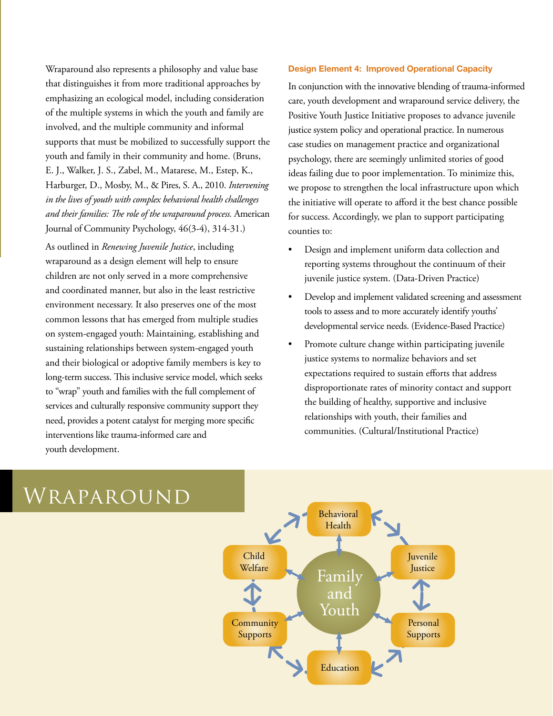involved, and the multiple community and informal Assumptions E. J., Walker, J. S., Zabel, M., Matarese, M., Estep, K., Harburger, D., Mosby, M., & Pires, S. A., 2010. *Intervening* **Delinquent Behavior** Symptom of underlying disturbance *in the lives of youth with complex behavioral health challenges*   $H_{\text{source}} \perp f_{\text{C}}$ **with Other Adolescents** Fundamentally dierent in psychological Journal of Community Psychology, 46(3-4), 314-31.) Wraparound also represents a philosophy and value base that distinguishes it from more traditional approaches by emphasizing an ecological model, including consideration of the multiple systems in which the youth and family are supports that must be mobilized to successfully support the youth and family in their community and home. (Bruns, *and their families: The role of the wraparound process.* American

wraparound as a design element will help to ensure children are not only served in a more comprehensive environment necessary. It also preserves one of the most common lessons that has emerged from multiple studies sustaining relationships between system-engaged youth and coordinated manner, but also in the least restrictive As outlined in *Renewing Juvenile Justice*, including on system-engaged youth: Maintaining, establishing and and their biological or adoptive family members is key to long-term success. This inclusive service model, which seeks to "wrap" youth and families with the full complement of services and culturally responsive community support they need, provides a potent catalyst for merging more specific interventions like trauma-informed care and youth development.

## **Design Element 4: Improved Operational Capacity**

justice system policy and operational practice. In numerous unity and home. (Bruns, store psychology, there are seemingly unlimited stories of good<br>Aatarese, M., Esten, K., store ideas failing due to noon implementation. To minimize this  $\overline{\mathbf{w}}$  propose to strangehen due t<sub>rat</sub>tenesse and the absences the initiative will operate to afford it the best chance possible  $\mathcal{O}(\mathcal{V})$ counties to:  $\ddot{\phantom{a}}$ we propose to strengthen the local infrastructure upon which for success. Accordingly, we plan to support participating In conjunction with the innovative blending of trauma-informed care, youth development and wraparound service delivery, the Positive Youth Justice Initiative proposes to advance juvenile case studies on management practice and organizational ideas failing due to poor implementation. To minimize this,

- $\sum_{\text{r}}^{\infty}$ juvenile justice system. (Data-Driven Practice) reporting systems throughout the continuum of their Design and implement uniform data collection and
- Develop and implement validated screening and assessr developmental service needs. (Evidence-Based Practice) • Develop and implement validated screening and assessment tools to assess and to more accurately identify youths'
- Promote culture change within participating juvenile justice systems to normalize behaviors and set expectations required to sustain efforts that address disproportionate rates of minority contact and support the building of healthy, supportive and inclusive relationships with youth, their families and communities. (Cultural/Institutional Practice)



## Wraparound